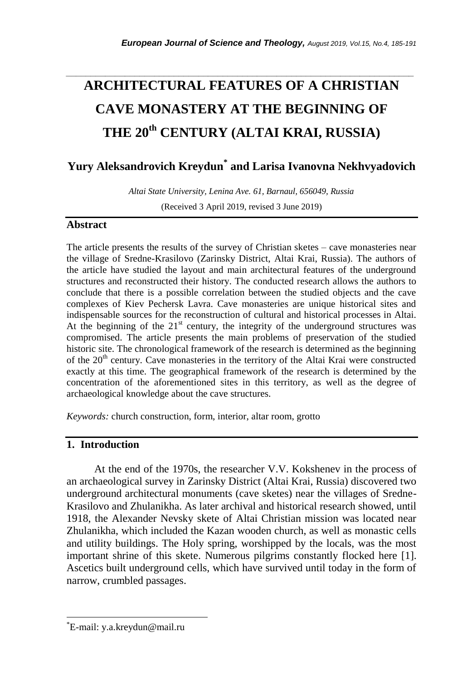# *\_\_\_\_\_\_\_\_\_\_\_\_\_\_\_\_\_\_\_\_\_\_\_\_\_\_\_\_\_\_\_\_\_\_\_\_\_\_\_\_\_\_\_\_\_\_\_\_\_\_\_\_\_\_\_\_\_\_\_\_\_\_\_\_\_\_\_\_\_\_\_* **ARCHITECTURAL FEATURES OF A CHRISTIAN CAVE MONASTERY AT THE BEGINNING OF THE 20th CENTURY (ALTAI KRAI, RUSSIA)**

# **Yury Aleksandrovich Kreydun\* and Larisa Ivanovna Nekhvyadovich**

*Altai State University, Lenina Ave. 61, Barnaul, 656049, Russia*  (Received 3 April 2019, revised 3 June 2019)

#### **Abstract**

The article presents the results of the survey of Christian sketes – cave monasteries near the village of Sredne-Krasilovo (Zarinsky District, Altai Krai, Russia). The authors of the article have studied the layout and main architectural features of the underground structures and reconstructed their history. The conducted research allows the authors to conclude that there is a possible correlation between the studied objects and the cave complexes of Kiev Pechersk Lavra. Cave monasteries are unique historical sites and indispensable sources for the reconstruction of cultural and historical processes in Altai. At the beginning of the  $21<sup>st</sup>$  century, the integrity of the underground structures was compromised. The article presents the main problems of preservation of the studied historic site. The chronological framework of the research is determined as the beginning of the 20<sup>th</sup> century. Cave monasteries in the territory of the Altai Krai were constructed exactly at this time. The geographical framework of the research is determined by the concentration of the aforementioned sites in this territory, as well as the degree of archaeological knowledge about the cave structures.

*Keywords:* church construction, form, interior, altar room, grotto

## **1. Introduction**

At the end of the 1970s, the researcher V.V. Kokshenev in the process of an archaeological survey in Zarinsky District (Altai Krai, Russia) discovered two underground architectural monuments (cave sketes) near the villages of Sredne-Krasilovo and Zhulanikha. As later archival and historical research showed, until 1918, the Alexander Nevsky skete of Altai Christian mission was located near Zhulanikha, which included the Kazan wooden church, as well as monastic cells and utility buildings. The Holy spring, worshipped by the locals, was the most important shrine of this skete. Numerous pilgrims constantly flocked here [\[1\].](#page-6-0) Ascetics built underground cells, which have survived until today in the form of narrow, crumbled passages.

l

<sup>\*</sup>E-mail: y.a.kreydun@mail.ru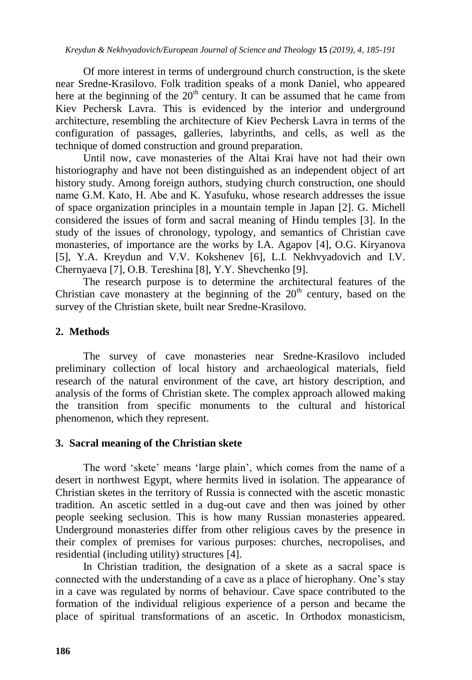Of more interest in terms of underground church construction, is the skete near Sredne-Krasilovo. Folk tradition speaks of a monk Daniel, who appeared here at the beginning of the  $20<sup>th</sup>$  century. It can be assumed that he came from Kiev Pechersk Lavra. This is evidenced by the interior and underground architecture, resembling the architecture of Kiev Pechersk Lavra in terms of the configuration of passages, galleries, labyrinths, and cells, as well as the technique of domed construction and ground preparation.

Until now, cave monasteries of the Altai Krai have not had their own historiography and have not been distinguished as an independent object of art history study. Among foreign authors, studying church construction, one should name G.M. Kato, H. Abe and K. Yasufuku, whose research addresses the issue of space organization principles in a mountain temple in Japan [\[2\].](#page-6-1) G. Michell considered the issues of form and sacral meaning of Hindu temples [\[3\].](#page-6-2) In the study of the issues of chronology, typology, and semantics of Christian cave monasteries, of importance are the works by I.A. Agapov [\[4\],](#page-6-3) O.G. Kiryanova [\[5\],](#page-6-4) Y.A. Kreydun and V.V. Kokshenev [\[6\],](#page-6-5) L.I. Nekhvyadovich and I.V. Chernyaeva [\[7\],](#page-6-6) O.B. Tereshina [\[8\],](#page-6-7) Y.Y. Shevchenko [\[9\].](#page-6-8)

The research purpose is to determine the architectural features of the Christian cave monastery at the beginning of the  $20<sup>th</sup>$  century, based on the survey of the Christian skete, built near Sredne-Krasilovo.

## **2. Methods**

The survey of cave monasteries near Sredne-Krasilovo included preliminary collection of local history and archaeological materials, field research of the natural environment of the cave, art history description, and analysis of the forms of Christian skete. The complex approach allowed making the transition from specific monuments to the cultural and historical phenomenon, which they represent.

#### **3. Sacral meaning of the Christian skete**

The word 'skete' means 'large plain', which comes from the name of a desert in northwest Egypt, where hermits lived in isolation. The appearance of Christian sketes in the territory of Russia is connected with the ascetic monastic tradition. An ascetic settled in a dug-out cave and then was joined by other people seeking seclusion. This is how many Russian monasteries appeared. Underground monasteries differ from other religious caves by the presence in their complex of premises for various purposes: churches, necropolises, and residential (including utility) structures [\[4\].](#page-6-3)

In Christian tradition, the designation of a skete as a sacral space is connected with the understanding of a cave as a place of hierophany. One's stay in a cave was regulated by norms of behaviour. Cave space contributed to the formation of the individual religious experience of a person and became the place of spiritual transformations of an ascetic. In Orthodox monasticism,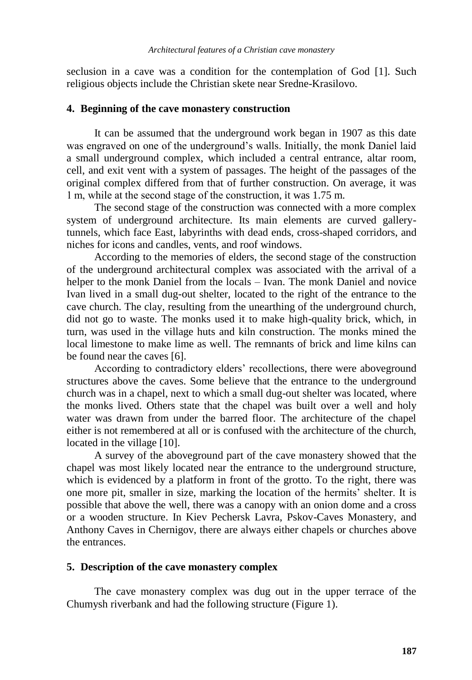seclusion in a cave was a condition for the contemplation of God [\[1\].](#page-6-0) Such religious objects include the Christian skete near Sredne-Krasilovo.

#### **4. Beginning of the cave monastery construction**

It can be assumed that the underground work began in 1907 as this date was engraved on one of the underground's walls. Initially, the monk Daniel laid a small underground complex, which included a central entrance, altar room, cell, and exit vent with a system of passages. The height of the passages of the original complex differed from that of further construction. On average, it was 1 m, while at the second stage of the construction, it was 1.75 m.

The second stage of the construction was connected with a more complex system of underground architecture. Its main elements are curved gallerytunnels, which face East, labyrinths with dead ends, cross-shaped corridors, and niches for icons and candles, vents, and roof windows.

According to the memories of elders, the second stage of the construction of the underground architectural complex was associated with the arrival of a helper to the monk Daniel from the locals – Ivan. The monk Daniel and novice Ivan lived in a small dug-out shelter, located to the right of the entrance to the cave church. The clay, resulting from the unearthing of the underground church, did not go to waste. The monks used it to make high-quality brick, which, in turn, was used in the village huts and kiln construction. The monks mined the local limestone to make lime as well. The remnants of brick and lime kilns can be found near the caves [\[6\].](#page-6-5)

According to contradictory elders' recollections, there were aboveground structures above the caves. Some believe that the entrance to the underground church was in a chapel, next to which a small dug-out shelter was located, where the monks lived. Others state that the chapel was built over a well and holy water was drawn from under the barred floor. The architecture of the chapel either is not remembered at all or is confused with the architecture of the church, located in the villag[e \[10\].](#page-6-9)

A survey of the aboveground part of the cave monastery showed that the chapel was most likely located near the entrance to the underground structure, which is evidenced by a platform in front of the grotto. To the right, there was one more pit, smaller in size, marking the location of the hermits' shelter. It is possible that above the well, there was a canopy with an onion dome and a cross or a wooden structure. In Kiev Pechersk Lavra, Pskov-Caves Monastery, and Anthony Caves in Chernigov, there are always either chapels or churches above the entrances.

#### **5. Description of the cave monastery complex**

The cave monastery complex was dug out in the upper terrace of the Chumysh riverbank and had the following structure (Figure 1).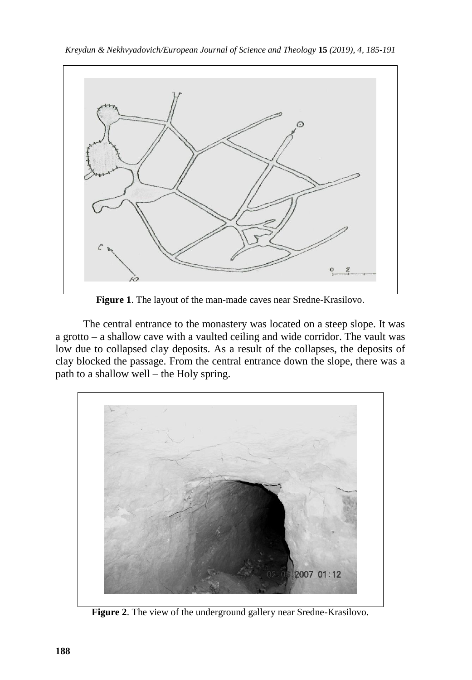

*Kreydun & Nekhvyadovich/European Journal of Science and Theology* **15** *(2019), 4, 185-191*

**Figure 1**. The layout of the man-made caves near Sredne-Krasilovo.

The central entrance to the monastery was located on a steep slope. It was a grotto – a shallow cave with a vaulted ceiling and wide corridor. The vault was low due to collapsed clay deposits. As a result of the collapses, the deposits of clay blocked the passage. From the central entrance down the slope, there was a path to a shallow well – the Holy spring.



**Figure 2**. The view of the underground gallery near Sredne-Krasilovo.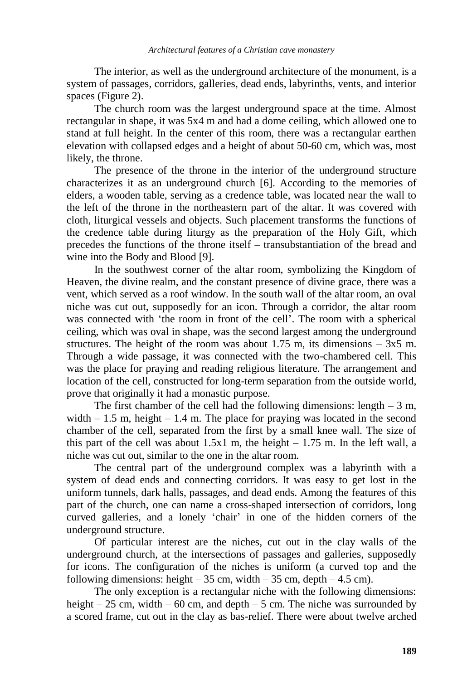The interior, as well as the underground architecture of the monument, is a system of passages, corridors, galleries, dead ends, labyrinths, vents, and interior spaces (Figure 2).

The church room was the largest underground space at the time. Almost rectangular in shape, it was 5х4 m and had a dome ceiling, which allowed one to stand at full height. In the center of this room, there was a rectangular earthen elevation with collapsed edges and a height of about 50-60 cm, which was, most likely, the throne.

The presence of the throne in the interior of the underground structure characterizes it as an underground church [\[6\].](#page-6-5) According to the memories of elders, a wooden table, serving as a credence table, was located near the wall to the left of the throne in the northeastern part of the altar. It was covered with cloth, liturgical vessels and objects. Such placement transforms the functions of the credence table during liturgy as the preparation of the Holy Gift, which precedes the functions of the throne itself – transubstantiation of the bread and wine into the Body and Blood [\[9\].](#page-6-8)

In the southwest corner of the altar room, symbolizing the Kingdom of Heaven, the divine realm, and the constant presence of divine grace, there was a vent, which served as a roof window. In the south wall of the altar room, an oval niche was cut out, supposedly for an icon. Through a corridor, the altar room was connected with 'the room in front of the cell'. The room with a spherical ceiling, which was oval in shape, was the second largest among the underground structures. The height of the room was about 1.75 m, its dimensions  $-3x5$  m. Through a wide passage, it was connected with the two-chambered cell. This was the place for praying and reading religious literature. The arrangement and location of the cell, constructed for long-term separation from the outside world, prove that originally it had a monastic purpose.

The first chamber of the cell had the following dimensions: length  $-3$  m, width  $-1.5$  m, height  $-1.4$  m. The place for praying was located in the second chamber of the cell, separated from the first by a small knee wall. The size of this part of the cell was about  $1.5x1$  m, the height  $-1.75$  m. In the left wall, a niche was cut out, similar to the one in the altar room.

The central part of the underground complex was a labyrinth with a system of dead ends and connecting corridors. It was easy to get lost in the uniform tunnels, dark halls, passages, and dead ends. Among the features of this part of the church, one can name a cross-shaped intersection of corridors, long curved galleries, and a lonely 'chair' in one of the hidden corners of the underground structure.

Of particular interest are the niches, cut out in the clay walls of the underground church, at the intersections of passages and galleries, supposedly for icons. The configuration of the niches is uniform (a curved top and the following dimensions: height  $-35$  cm, width  $-35$  cm, depth  $-4.5$  cm).

The only exception is a rectangular niche with the following dimensions: height – 25 cm, width – 60 cm, and depth – 5 cm. The niche was surrounded by a scored frame, cut out in the clay as bas-relief. There were about twelve arched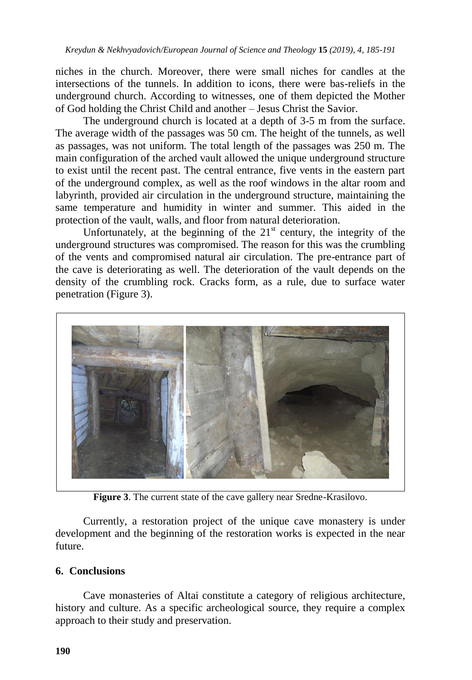niches in the church. Moreover, there were small niches for candles at the intersections of the tunnels. In addition to icons, there were bas-reliefs in the underground church. According to witnesses, one of them depicted the Mother of God holding the Christ Child and another – Jesus Christ the Savior.

The underground church is located at a depth of 3-5 m from the surface. The average width of the passages was 50 cm. The height of the tunnels, as well as passages, was not uniform. The total length of the passages was 250 m. The main configuration of the arched vault allowed the unique underground structure to exist until the recent past. The central entrance, five vents in the eastern part of the underground complex, as well as the roof windows in the altar room and labyrinth, provided air circulation in the underground structure, maintaining the same temperature and humidity in winter and summer. This aided in the protection of the vault, walls, and floor from natural deterioration.

Unfortunately, at the beginning of the  $21<sup>st</sup>$  century, the integrity of the underground structures was compromised. The reason for this was the crumbling of the vents and compromised natural air circulation. The pre-entrance part of the cave is deteriorating as well. The deterioration of the vault depends on the density of the crumbling rock. Cracks form, as a rule, due to surface water penetration (Figure 3).



**Figure 3**. The current state of the cave gallery near Sredne-Krasilovo.

Currently, a restoration project of the unique cave monastery is under development and the beginning of the restoration works is expected in the near future.

# **6. Conclusions**

Cave monasteries of Altai constitute a category of religious architecture, history and culture. As a specific archeological source, they require a complex approach to their study and preservation.